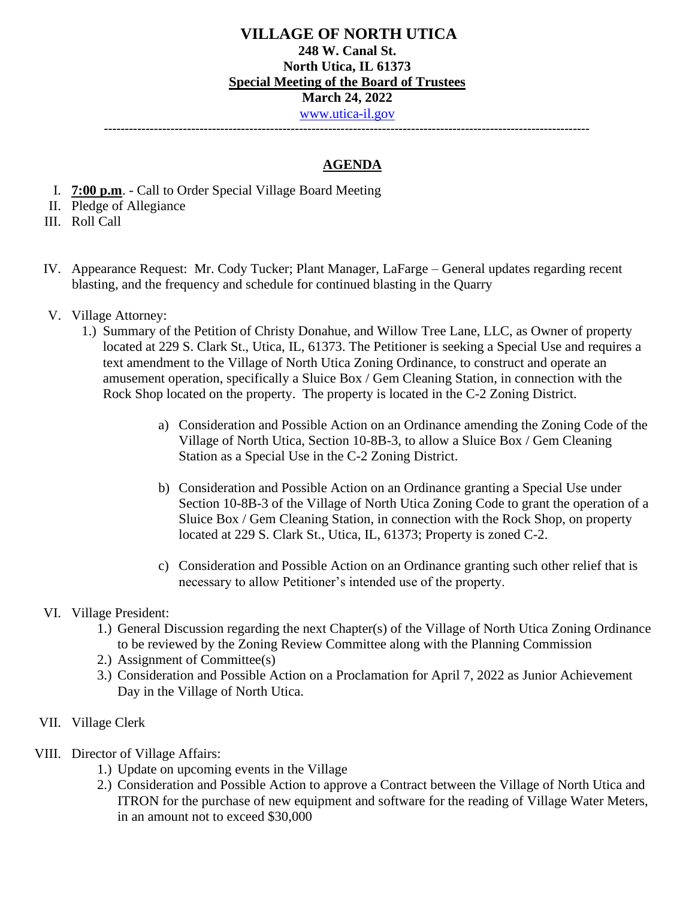**---------------------------------------------------------------------------------------------------------------------**

## **AGENDA**

- I. **7:00 p.m**. Call to Order Special Village Board Meeting
- II. Pledge of Allegiance
- III. Roll Call
- IV. Appearance Request: Mr. Cody Tucker; Plant Manager, LaFarge General updates regarding recent blasting, and the frequency and schedule for continued blasting in the Quarry
- V. Village Attorney:
	- 1.) Summary of the Petition of Christy Donahue, and Willow Tree Lane, LLC, as Owner of property located at 229 S. Clark St., Utica, IL, 61373. The Petitioner is seeking a Special Use and requires a text amendment to the Village of North Utica Zoning Ordinance, to construct and operate an amusement operation, specifically a Sluice Box / Gem Cleaning Station, in connection with the Rock Shop located on the property. The property is located in the C-2 Zoning District.
		- a) Consideration and Possible Action on an Ordinance amending the Zoning Code of the Village of North Utica, Section 10-8B-3, to allow a Sluice Box / Gem Cleaning Station as a Special Use in the C-2 Zoning District.
		- b) Consideration and Possible Action on an Ordinance granting a Special Use under Section 10-8B-3 of the Village of North Utica Zoning Code to grant the operation of a Sluice Box / Gem Cleaning Station, in connection with the Rock Shop, on property located at 229 S. Clark St., Utica, IL, 61373; Property is zoned C-2.
		- c) Consideration and Possible Action on an Ordinance granting such other relief that is necessary to allow Petitioner's intended use of the property.
- VI. Village President:
	- 1.) General Discussion regarding the next Chapter(s) of the Village of North Utica Zoning Ordinance to be reviewed by the Zoning Review Committee along with the Planning Commission
	- 2.) Assignment of Committee(s)
	- 3.) Consideration and Possible Action on a Proclamation for April 7, 2022 as Junior Achievement Day in the Village of North Utica.
- VII. Village Clerk
- VIII. Director of Village Affairs:
	- 1.) Update on upcoming events in the Village
	- 2.) Consideration and Possible Action to approve a Contract between the Village of North Utica and ITRON for the purchase of new equipment and software for the reading of Village Water Meters, in an amount not to exceed \$30,000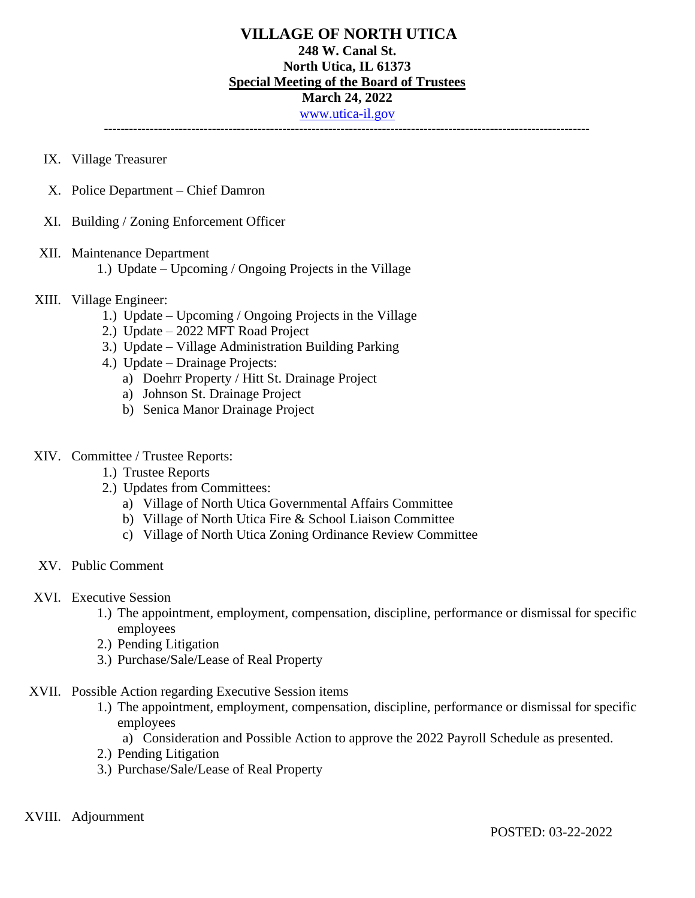## **VILLAGE OF NORTH UTICA 248 W. Canal St. North Utica, IL 61373 Special Meeting of the Board of Trustees March 24, 2022** [www.utica-il.gov](http://www.utica-il.gov/) **---------------------------------------------------------------------------------------------------------------------**

- IX. Village Treasurer
- X. Police Department Chief Damron
- XI. Building / Zoning Enforcement Officer

#### XII. Maintenance Department

1.) Update – Upcoming / Ongoing Projects in the Village

#### XIII. Village Engineer:

- 1.) Update Upcoming / Ongoing Projects in the Village
- 2.) Update 2022 MFT Road Project
- 3.) Update Village Administration Building Parking
- 4.) Update Drainage Projects:
	- a) Doehrr Property / Hitt St. Drainage Project
	- a) Johnson St. Drainage Project
	- b) Senica Manor Drainage Project

#### XIV. Committee / Trustee Reports:

- 1.) Trustee Reports
- 2.) Updates from Committees:
	- a) Village of North Utica Governmental Affairs Committee
	- b) Village of North Utica Fire & School Liaison Committee
	- c) Village of North Utica Zoning Ordinance Review Committee
- XV. Public Comment

## XVI. Executive Session

- 1.) The appointment, employment, compensation, discipline, performance or dismissal for specific employees
- 2.) Pending Litigation
- 3.) Purchase/Sale/Lease of Real Property
- XVII. Possible Action regarding Executive Session items
	- 1.) The appointment, employment, compensation, discipline, performance or dismissal for specific employees
		- a) Consideration and Possible Action to approve the 2022 Payroll Schedule as presented.
	- 2.) Pending Litigation
	- 3.) Purchase/Sale/Lease of Real Property

#### XVIII. Adjournment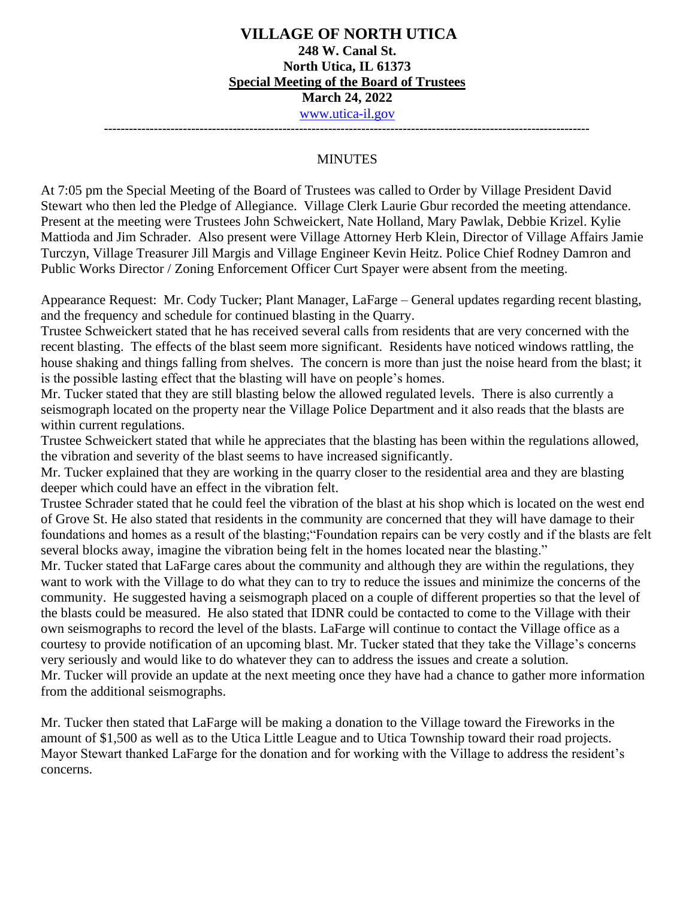**---------------------------------------------------------------------------------------------------------------------**

#### **MINUTES**

At 7:05 pm the Special Meeting of the Board of Trustees was called to Order by Village President David Stewart who then led the Pledge of Allegiance. Village Clerk Laurie Gbur recorded the meeting attendance. Present at the meeting were Trustees John Schweickert, Nate Holland, Mary Pawlak, Debbie Krizel. Kylie Mattioda and Jim Schrader. Also present were Village Attorney Herb Klein, Director of Village Affairs Jamie Turczyn, Village Treasurer Jill Margis and Village Engineer Kevin Heitz. Police Chief Rodney Damron and Public Works Director / Zoning Enforcement Officer Curt Spayer were absent from the meeting.

Appearance Request: Mr. Cody Tucker; Plant Manager, LaFarge – General updates regarding recent blasting, and the frequency and schedule for continued blasting in the Quarry.

Trustee Schweickert stated that he has received several calls from residents that are very concerned with the recent blasting. The effects of the blast seem more significant. Residents have noticed windows rattling, the house shaking and things falling from shelves. The concern is more than just the noise heard from the blast; it is the possible lasting effect that the blasting will have on people's homes.

Mr. Tucker stated that they are still blasting below the allowed regulated levels. There is also currently a seismograph located on the property near the Village Police Department and it also reads that the blasts are within current regulations.

Trustee Schweickert stated that while he appreciates that the blasting has been within the regulations allowed, the vibration and severity of the blast seems to have increased significantly.

Mr. Tucker explained that they are working in the quarry closer to the residential area and they are blasting deeper which could have an effect in the vibration felt.

Trustee Schrader stated that he could feel the vibration of the blast at his shop which is located on the west end of Grove St. He also stated that residents in the community are concerned that they will have damage to their foundations and homes as a result of the blasting;"Foundation repairs can be very costly and if the blasts are felt several blocks away, imagine the vibration being felt in the homes located near the blasting."

Mr. Tucker stated that LaFarge cares about the community and although they are within the regulations, they want to work with the Village to do what they can to try to reduce the issues and minimize the concerns of the community. He suggested having a seismograph placed on a couple of different properties so that the level of the blasts could be measured. He also stated that IDNR could be contacted to come to the Village with their own seismographs to record the level of the blasts. LaFarge will continue to contact the Village office as a courtesy to provide notification of an upcoming blast. Mr. Tucker stated that they take the Village's concerns very seriously and would like to do whatever they can to address the issues and create a solution. Mr. Tucker will provide an update at the next meeting once they have had a chance to gather more information from the additional seismographs.

Mr. Tucker then stated that LaFarge will be making a donation to the Village toward the Fireworks in the amount of \$1,500 as well as to the Utica Little League and to Utica Township toward their road projects. Mayor Stewart thanked LaFarge for the donation and for working with the Village to address the resident's concerns.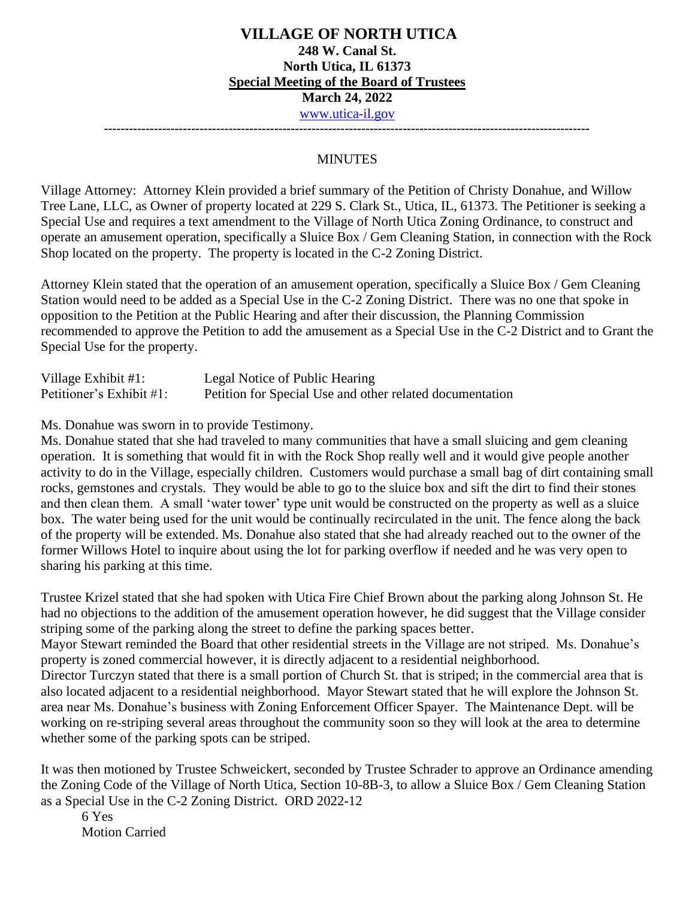**---------------------------------------------------------------------------------------------------------------------**

## **MINUTES**

Village Attorney: Attorney Klein provided a brief summary of the Petition of Christy Donahue, and Willow Tree Lane, LLC, as Owner of property located at 229 S. Clark St., Utica, IL, 61373. The Petitioner is seeking a Special Use and requires a text amendment to the Village of North Utica Zoning Ordinance, to construct and operate an amusement operation, specifically a Sluice Box / Gem Cleaning Station, in connection with the Rock Shop located on the property. The property is located in the C-2 Zoning District.

Attorney Klein stated that the operation of an amusement operation, specifically a Sluice Box / Gem Cleaning Station would need to be added as a Special Use in the C-2 Zoning District. There was no one that spoke in opposition to the Petition at the Public Hearing and after their discussion, the Planning Commission recommended to approve the Petition to add the amusement as a Special Use in the C-2 District and to Grant the Special Use for the property.

| Village Exhibit $#1$ :   | Legal Notice of Public Hearing                           |
|--------------------------|----------------------------------------------------------|
| Petitioner's Exhibit #1: | Petition for Special Use and other related documentation |

Ms. Donahue was sworn in to provide Testimony.

Ms. Donahue stated that she had traveled to many communities that have a small sluicing and gem cleaning operation. It is something that would fit in with the Rock Shop really well and it would give people another activity to do in the Village, especially children. Customers would purchase a small bag of dirt containing small rocks, gemstones and crystals. They would be able to go to the sluice box and sift the dirt to find their stones and then clean them. A small 'water tower' type unit would be constructed on the property as well as a sluice box. The water being used for the unit would be continually recirculated in the unit. The fence along the back of the property will be extended. Ms. Donahue also stated that she had already reached out to the owner of the former Willows Hotel to inquire about using the lot for parking overflow if needed and he was very open to sharing his parking at this time.

Trustee Krizel stated that she had spoken with Utica Fire Chief Brown about the parking along Johnson St. He had no objections to the addition of the amusement operation however, he did suggest that the Village consider striping some of the parking along the street to define the parking spaces better.

Mayor Stewart reminded the Board that other residential streets in the Village are not striped. Ms. Donahue's property is zoned commercial however, it is directly adjacent to a residential neighborhood.

Director Turczyn stated that there is a small portion of Church St. that is striped; in the commercial area that is also located adjacent to a residential neighborhood. Mayor Stewart stated that he will explore the Johnson St. area near Ms. Donahue's business with Zoning Enforcement Officer Spayer. The Maintenance Dept. will be working on re-striping several areas throughout the community soon so they will look at the area to determine whether some of the parking spots can be striped.

It was then motioned by Trustee Schweickert, seconded by Trustee Schrader to approve an Ordinance amending the Zoning Code of the Village of North Utica, Section 10-8B-3, to allow a Sluice Box / Gem Cleaning Station as a Special Use in the C-2 Zoning District. ORD 2022-12

6 Yes Motion Carried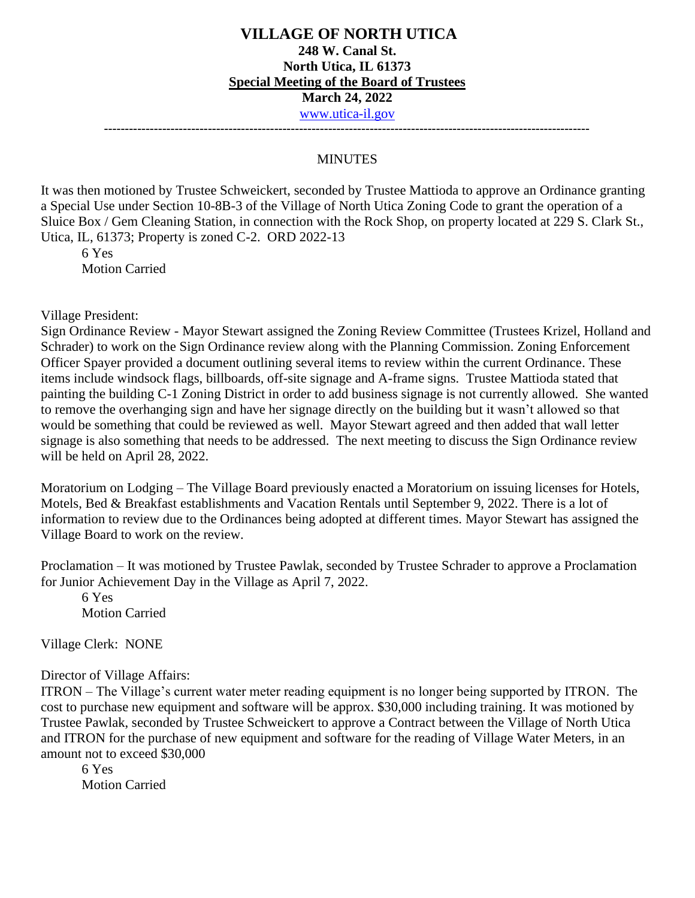#### **VILLAGE OF NORTH UTICA 248 W. Canal St. North Utica, IL 61373 Special Meeting of the Board of Trustees March 24, 2022** [www.utica-il.gov](http://www.utica-il.gov/) **---------------------------------------------------------------------------------------------------------------------**

#### **MINUTES**

It was then motioned by Trustee Schweickert, seconded by Trustee Mattioda to approve an Ordinance granting a Special Use under Section 10-8B-3 of the Village of North Utica Zoning Code to grant the operation of a Sluice Box / Gem Cleaning Station, in connection with the Rock Shop, on property located at 229 S. Clark St., Utica, IL, 61373; Property is zoned C-2. ORD 2022-13

6 Yes Motion Carried

Village President:

Sign Ordinance Review - Mayor Stewart assigned the Zoning Review Committee (Trustees Krizel, Holland and Schrader) to work on the Sign Ordinance review along with the Planning Commission. Zoning Enforcement Officer Spayer provided a document outlining several items to review within the current Ordinance. These items include windsock flags, billboards, off-site signage and A-frame signs. Trustee Mattioda stated that painting the building C-1 Zoning District in order to add business signage is not currently allowed. She wanted to remove the overhanging sign and have her signage directly on the building but it wasn't allowed so that would be something that could be reviewed as well. Mayor Stewart agreed and then added that wall letter signage is also something that needs to be addressed. The next meeting to discuss the Sign Ordinance review will be held on April 28, 2022.

Moratorium on Lodging – The Village Board previously enacted a Moratorium on issuing licenses for Hotels, Motels, Bed & Breakfast establishments and Vacation Rentals until September 9, 2022. There is a lot of information to review due to the Ordinances being adopted at different times. Mayor Stewart has assigned the Village Board to work on the review.

Proclamation – It was motioned by Trustee Pawlak, seconded by Trustee Schrader to approve a Proclamation for Junior Achievement Day in the Village as April 7, 2022.

6 Yes Motion Carried

Village Clerk: NONE

#### Director of Village Affairs:

ITRON – The Village's current water meter reading equipment is no longer being supported by ITRON. The cost to purchase new equipment and software will be approx. \$30,000 including training. It was motioned by Trustee Pawlak, seconded by Trustee Schweickert to approve a Contract between the Village of North Utica and ITRON for the purchase of new equipment and software for the reading of Village Water Meters, in an amount not to exceed \$30,000

6 Yes Motion Carried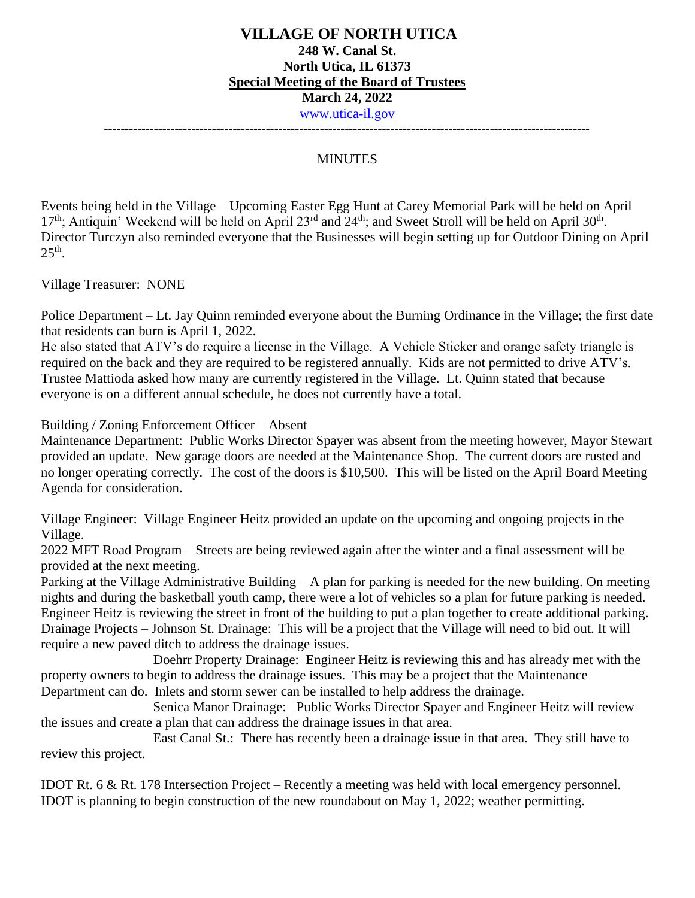## **VILLAGE OF NORTH UTICA 248 W. Canal St. North Utica, IL 61373 Special Meeting of the Board of Trustees March 24, 2022** [www.utica-il.gov](http://www.utica-il.gov/) **---------------------------------------------------------------------------------------------------------------------**

#### **MINUTES**

Events being held in the Village – Upcoming Easter Egg Hunt at Carey Memorial Park will be held on April 17<sup>th</sup>; Antiquin' Weekend will be held on April 23<sup>rd</sup> and 24<sup>th</sup>; and Sweet Stroll will be held on April 30<sup>th</sup>. Director Turczyn also reminded everyone that the Businesses will begin setting up for Outdoor Dining on April  $25<sup>th</sup>$ .

Village Treasurer: NONE

Police Department – Lt. Jay Quinn reminded everyone about the Burning Ordinance in the Village; the first date that residents can burn is April 1, 2022.

He also stated that ATV's do require a license in the Village. A Vehicle Sticker and orange safety triangle is required on the back and they are required to be registered annually. Kids are not permitted to drive ATV's. Trustee Mattioda asked how many are currently registered in the Village. Lt. Quinn stated that because everyone is on a different annual schedule, he does not currently have a total.

Building / Zoning Enforcement Officer – Absent

Maintenance Department: Public Works Director Spayer was absent from the meeting however, Mayor Stewart provided an update. New garage doors are needed at the Maintenance Shop. The current doors are rusted and no longer operating correctly. The cost of the doors is \$10,500. This will be listed on the April Board Meeting Agenda for consideration.

Village Engineer: Village Engineer Heitz provided an update on the upcoming and ongoing projects in the Village.

2022 MFT Road Program – Streets are being reviewed again after the winter and a final assessment will be provided at the next meeting.

Parking at the Village Administrative Building – A plan for parking is needed for the new building. On meeting nights and during the basketball youth camp, there were a lot of vehicles so a plan for future parking is needed. Engineer Heitz is reviewing the street in front of the building to put a plan together to create additional parking. Drainage Projects – Johnson St. Drainage: This will be a project that the Village will need to bid out. It will require a new paved ditch to address the drainage issues.

 Doehrr Property Drainage: Engineer Heitz is reviewing this and has already met with the property owners to begin to address the drainage issues. This may be a project that the Maintenance Department can do. Inlets and storm sewer can be installed to help address the drainage.

 Senica Manor Drainage: Public Works Director Spayer and Engineer Heitz will review the issues and create a plan that can address the drainage issues in that area.

 East Canal St.: There has recently been a drainage issue in that area. They still have to review this project.

IDOT Rt. 6 & Rt. 178 Intersection Project – Recently a meeting was held with local emergency personnel. IDOT is planning to begin construction of the new roundabout on May 1, 2022; weather permitting.